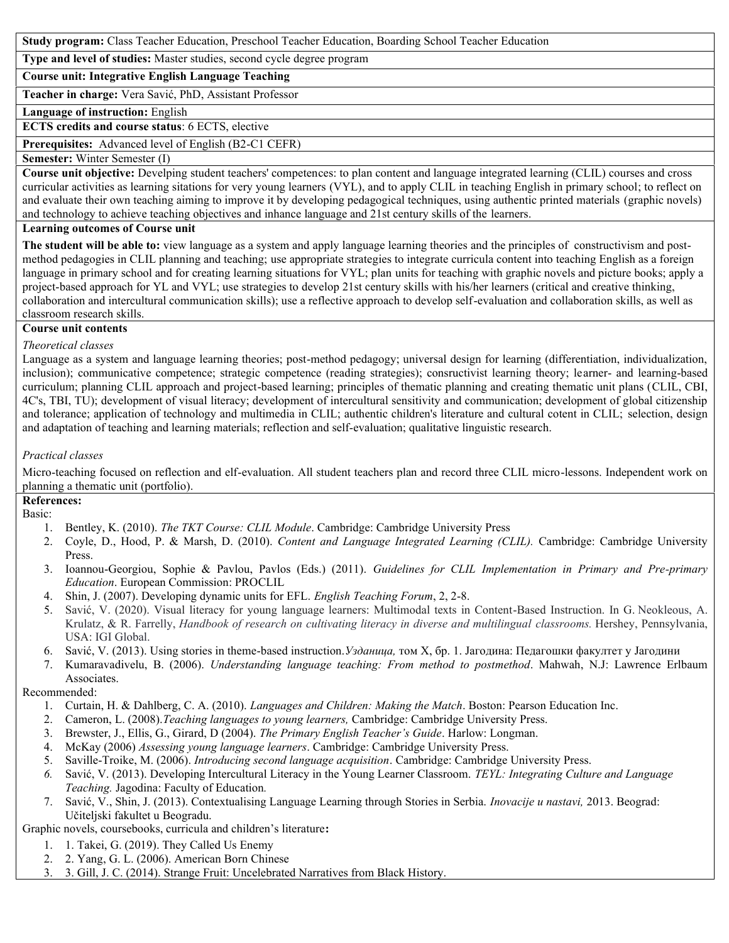**Study program:** Class Teacher Education, Preschool Teacher Education, Boarding School Teacher Education

**Type and level of studies:** Master studies, second cycle degree program

**Course unit: Integrative English Language Teaching**

**Teacher in charge:** Vera Savić, PhD, Assistant Professor

**Language of instruction:** English

**ECTS credits and course status**: 6 ECTS, elective

**Prerequisites:** Advanced level of English (B2-C1 CEFR)

**Semester:** Winter Semester (I)

**Course unit objective:** Develping student teachers' competences: to plan content and language integrated learning (CLIL) courses and cross curricular activities as learning sitations for very young learners (VYL), and to apply CLIL in teaching English in primary school; to reflect on and evaluate their own teaching aiming to improve it by developing pedagogical techniques, using authentic printed materials (graphic novels) and technology to achieve teaching objectives and inhance language and 21st century skills of the learners.

### **Learning outcomes of Course unit**

**The student will be able to:** view language as a system and apply language learning theories and the principles of constructivism and post method pedagogies in CLIL planning and teaching; use appropriate strategies to integrate curricula content into teaching English as a foreign language in primary school and for creating learning situations for VYL; plan units for teaching with graphic novels and picture books; apply a project-based approach for YL and VYL; use strategies to develop 21st century skills with his/her learners (critical and creative thinking, collaboration and intercultural communication skills); use a reflective approach to develop self-evaluation and collaboration skills, as well as classroom research skills.

### **Course unit contents**

### *Theoretical classes*

Language as a system and language learning theories; post-method pedagogy; universal design for learning (differentiation, individualization, inclusion); communicative competence; strategic competence (reading strategies); consructivist learning theory; learner- and learning-based curriculum; planning CLIL approach and project-based learning; principles of thematic planning and creating thematic unit plans (CLIL, CBI, 4C's, TBI, TU); development of visual literacy; development of intercultural sensitivity and communication; development of global citizenship and tolerance; application of technology and multimedia in CLIL; authentic children's literature and cultural cotent in CLIL; selection, design and adaptation of teaching and learning materials; reflection and self-evaluation; qualitative linguistic research.

## *Practical classes*

Micro-teaching focused on reflection and elf-evaluation. All student teachers plan and record three CLIL micro-lessons. Independent work on planning a thematic unit (portfolio).

### **References:**

Basic:

- 1. Bentley, K. (2010). *The TKT Course: CLIL Module*. Cambridge: Cambridge University Press
- 2. Coyle, D., Hood, P. & Marsh, D. (2010). *Content and Language Integrated Learning (CLIL).* Cambridge: Cambridge University Press.
- 3. Ioannou-Georgiou, Sophie & Pavlou, Pavlos (Eds.) (2011). *Guidelines for CLIL Implementation in Primary and Pre-primary Education*. European Commission: PROCLIL
- 4. Shin, J. (2007). Developing dynamic units for EFL. *English Teaching Forum*, 2, 2-8.
- 5. Savić, V. (2020). Visual literacy for young language learners: Multimodal texts in Content-Based Instruction. In G. Neokleous, A. Krulatz, & R. Farrelly, *Handbook of research on cultivating literacy in diverse and multilingual classrooms.* Hershey, Pennsylvania, USA: IGI Global.
- 6. Savić, V. (2013). Using stories in theme-based instruction.*Узданица,* том X, бр. 1. Јагодина: Педагошки факултет у Јагодини
- 7. Kumaravadivelu, B. (2006). *Understanding language teaching: From method to postmethod*. Mahwah, N.J: Lawrence Erlbaum Associates.

### Recommended:

- 1. Curtain, H. & Dahlberg, C. A. (2010). *Languages and Children: Making the Match*. Boston: Pearson Education Inc.
- 2. Cameron, L. (2008).*Teaching languages to young learners,* Cambridge: Cambridge University Press.
- 3. Brewster, J., Ellis, G., Girard, D (2004). *The Primary English Teacher's Guide*. Harlow: Longman.
- 4. McKay (2006) *Assessing young language learners*. Cambridge: Cambridge University Press.
- 5. Saville-Troike, M. (2006). *Introducing second language acquisition*. Cambridge: Cambridge University Press.
- *6.* Savić, V. (2013). Developing Intercultural Literacy in the Young Learner Classroom. *TEYL: Integrating Culture and Language Teaching.* Jagodina: Faculty of Education*.*
- 7. Savić, V., Shin, J. (2013). Contextualising Language Learning through Stories in Serbia. *Inovacije u nastavi,* 2013. Beograd: Učiteljski fakultet u Beogradu.

Graphic novels, coursebooks, curricula and children's literature**:**

- 1. 1. Takei, G. (2019). They Called Us Enemy
- 2. 2. Yang, G. L. (2006). American Born Chinese
- 3. 3. Gill, J. C. (2014). Strange Fruit: Uncelebrated Narratives from Black History.